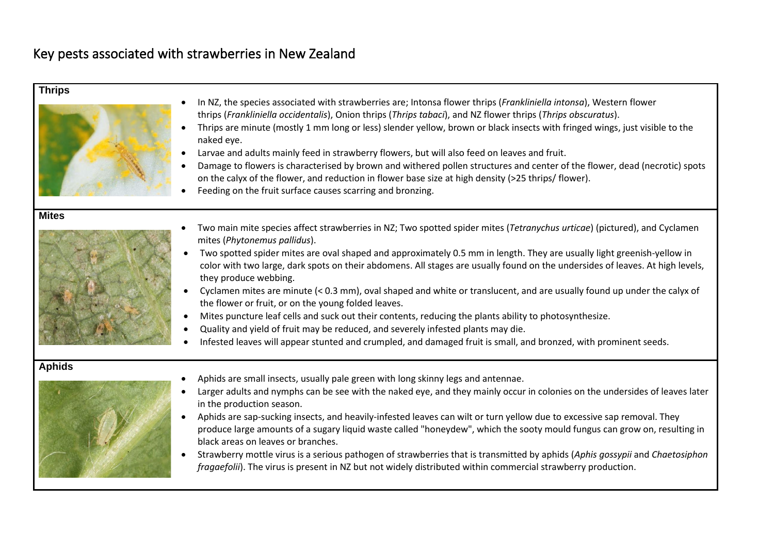## Key pests associated with strawberries in New Zealand

| <b>Thrips</b><br>$\bullet$ | In NZ, the species associated with strawberries are; Intonsa flower thrips (Frankliniella intonsa), Western flower<br>thrips (Frankliniella occidentalis), Onion thrips (Thrips tabaci), and NZ flower thrips (Thrips obscuratus).<br>Thrips are minute (mostly 1 mm long or less) slender yellow, brown or black insects with fringed wings, just visible to the<br>naked eye.<br>Larvae and adults mainly feed in strawberry flowers, but will also feed on leaves and fruit.<br>Damage to flowers is characterised by brown and withered pollen structures and center of the flower, dead (necrotic) spots<br>on the calyx of the flower, and reduction in flower base size at high density (>25 thrips/ flower).<br>Feeding on the fruit surface causes scarring and bronzing.                                                                                                                                                               |
|----------------------------|--------------------------------------------------------------------------------------------------------------------------------------------------------------------------------------------------------------------------------------------------------------------------------------------------------------------------------------------------------------------------------------------------------------------------------------------------------------------------------------------------------------------------------------------------------------------------------------------------------------------------------------------------------------------------------------------------------------------------------------------------------------------------------------------------------------------------------------------------------------------------------------------------------------------------------------------------|
| <b>Mites</b>               | Two main mite species affect strawberries in NZ; Two spotted spider mites (Tetranychus urticae) (pictured), and Cyclamen<br>mites (Phytonemus pallidus).<br>Two spotted spider mites are oval shaped and approximately 0.5 mm in length. They are usually light greenish-yellow in<br>color with two large, dark spots on their abdomens. All stages are usually found on the undersides of leaves. At high levels,<br>they produce webbing.<br>Cyclamen mites are minute (< 0.3 mm), oval shaped and white or translucent, and are usually found up under the calyx of<br>the flower or fruit, or on the young folded leaves.<br>Mites puncture leaf cells and suck out their contents, reducing the plants ability to photosynthesize.<br>Quality and yield of fruit may be reduced, and severely infested plants may die.<br>Infested leaves will appear stunted and crumpled, and damaged fruit is small, and bronzed, with prominent seeds. |
| <b>Aphids</b><br>$\bullet$ | Aphids are small insects, usually pale green with long skinny legs and antennae.<br>Larger adults and nymphs can be see with the naked eye, and they mainly occur in colonies on the undersides of leaves later<br>in the production season.<br>Aphids are sap-sucking insects, and heavily-infested leaves can wilt or turn yellow due to excessive sap removal. They<br>produce large amounts of a sugary liquid waste called "honeydew", which the sooty mould fungus can grow on, resulting in<br>black areas on leaves or branches.<br>Strawberry mottle virus is a serious pathogen of strawberries that is transmitted by aphids (Aphis gossypii and Chaetosiphon<br>fragaefolii). The virus is present in NZ but not widely distributed within commercial strawberry production.                                                                                                                                                         |